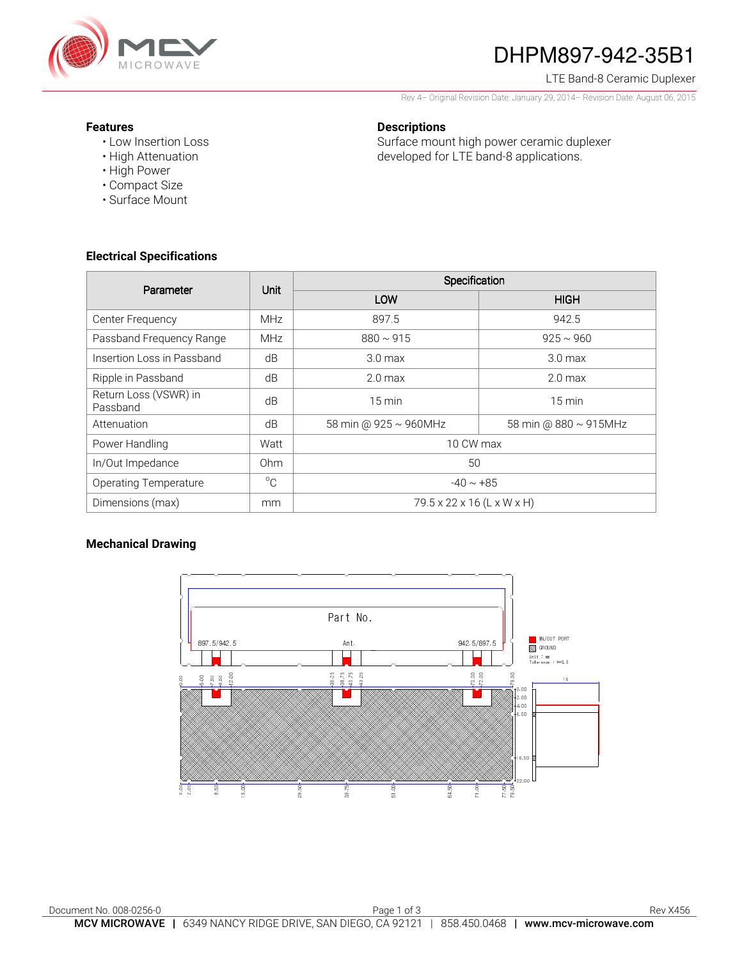

# DHPM897-942-35B1

### LTE Band-8 Ceramic Duplexer

Rev 4– Original Revision Date: January 29, 2014– Revision Date: August 06, 2015

### **Features**

- Low Insertion Loss
- High Attenuation
- High Power
- Compact Size
- Surface Mount

### **Electrical Specifications**

| Parameter                         | Unit            | Specification              |                       |
|-----------------------------------|-----------------|----------------------------|-----------------------|
|                                   |                 | LOW                        | <b>HIGH</b>           |
| Center Frequency                  | <b>MHz</b>      | 897.5                      | 942.5                 |
| Passband Frequency Range          | <b>MHz</b>      | $880 \sim 915$             | $925 \sim 960$        |
| Insertion Loss in Passband        | dB              | 3.0 <sub>max</sub>         | 3.0 <sub>max</sub>    |
| Ripple in Passband                | dB              | 2.0 <sub>max</sub>         | $2.0 \text{ max}$     |
| Return Loss (VSWR) in<br>Passband | dB              | $15 \text{ min}$           | $15 \text{ min}$      |
| Attenuation                       | dB              | 58 min @ 925 ~ 960MHz      | 58 min @ 880 ~ 915MHz |
| Power Handling                    | Watt            | 10 CW max                  |                       |
| In/Out Impedance                  | 0 <sub>hm</sub> | 50                         |                       |
| <b>Operating Temperature</b>      | $^{\circ}C$     | $-40 \sim +85$             |                       |
| Dimensions (max)                  | mm              | 79.5 x 22 x 16 (L x W x H) |                       |

### **Mechanical Drawing**



developed for LTE band-8 applications.

Surface mount high power ceramic duplexer

**Descriptions**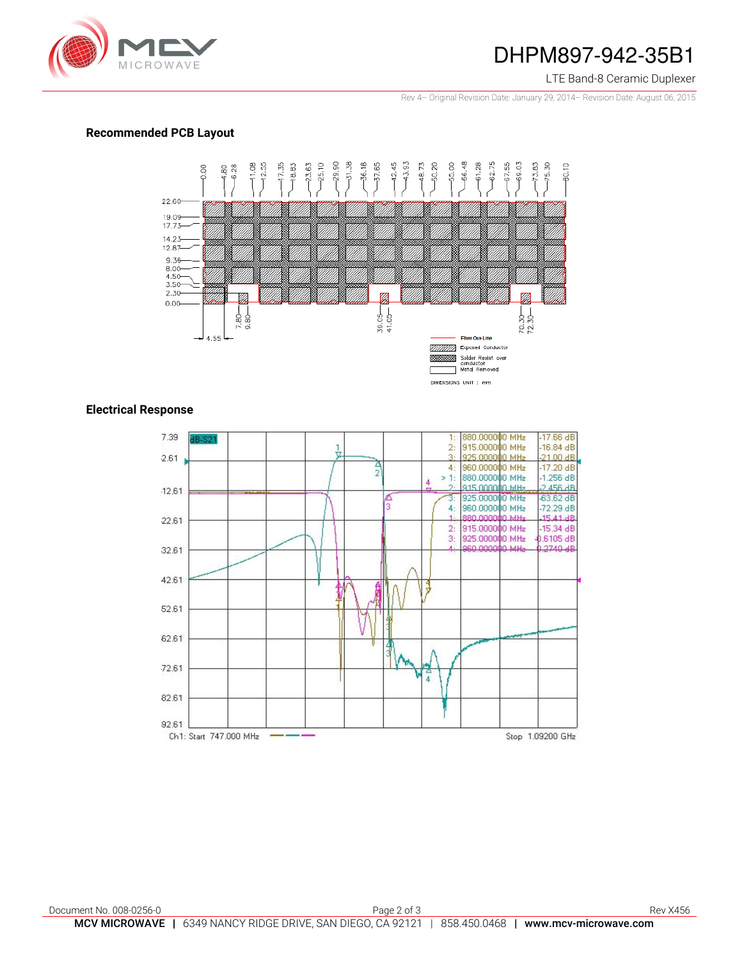

### DHPM897-942-35B1

#### LTE Band-8 Ceramic Duplexer

Rev 4– Original Revision Date: January 29, 2014– Revision Date: August 06, 2015

### **Recommended PCB Layout**



### **Electrical Response**